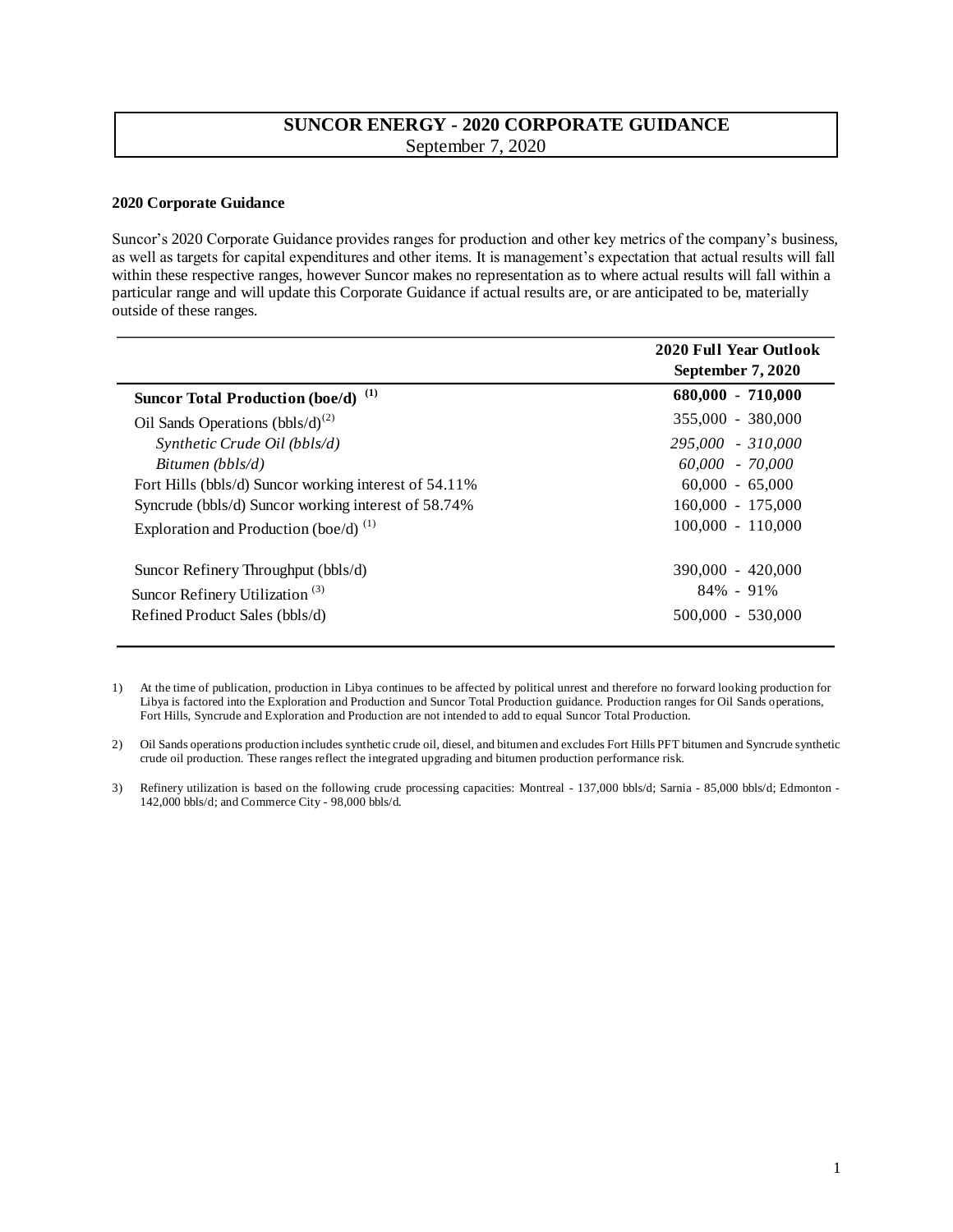## **SUNCOR ENERGY - 2020 CORPORATE GUIDANCE**  September 7, 2020

## **2020 Corporate Guidance**

Suncor's 2020 Corporate Guidance provides ranges for production and other key metrics of the company's business, as well as targets for capital expenditures and other items. It is management's expectation that actual results will fall within these respective ranges, however Suncor makes no representation as to where actual results will fall within a particular range and will update this Corporate Guidance if actual results are, or are anticipated to be, materially outside of these ranges.

| <b>2020 Full Year Outlook</b><br>September 7, 2020 |
|----------------------------------------------------|
| 680,000 - 710,000                                  |
| 355,000 - 380,000                                  |
| 295,000 - 310,000                                  |
| 60.000 - 70.000                                    |
| $60,000 - 65,000$                                  |
| $160,000 - 175,000$                                |
| $100.000 - 110.000$                                |
| $390.000 - 420.000$                                |
| $84\% - 91\%$                                      |
| $500.000 - 530.000$                                |
|                                                    |

1) At the time of publication, production in Libya continues to be affected by political unrest and therefore no forward looking production for Libya is factored into the Exploration and Production and Suncor Total Production guidance. Production ranges for Oil Sands operations, Fort Hills, Syncrude and Exploration and Production are not intended to add to equal Suncor Total Production.

2) Oil Sands operations production includes synthetic crude oil, diesel, and bitumen and excludes Fort Hills PFT bitumen and Syncrude synthetic crude oil production. These ranges reflect the integrated upgrading and bitumen production performance risk.

3) Refinery utilization is based on the following crude processing capacities: Montreal - 137,000 bbls/d; Sarnia - 85,000 bbls/d; Edmonton - 142,000 bbls/d; and Commerce City - 98,000 bbls/d.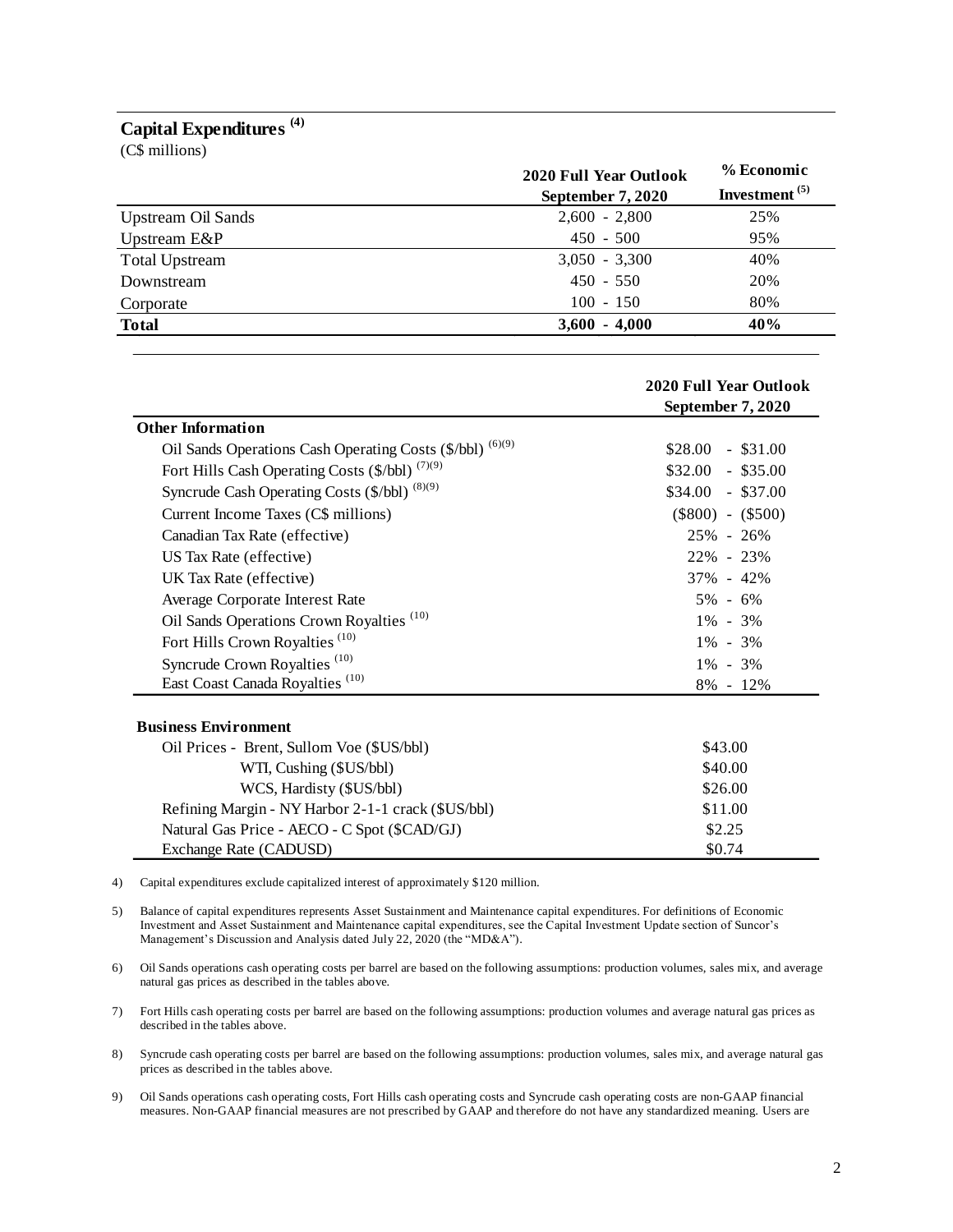## **Capital Expenditures (4)**

(C\$ millions)

| 2020 Full Year Outlook |                  |
|------------------------|------------------|
| September 7, 2020      | Investment $(5)$ |
| $2,600 - 2,800$        | 25%              |
| $450 - 500$            | 95%              |
| $3,050 - 3,300$        | 40%              |
| $450 - 550$            | 20%              |
| $100 - 150$            | 80%              |
| $3,600 - 4,000$        | 40%              |
|                        |                  |

|                                                           | 2020 Full Year Outlook<br><b>September 7, 2020</b> |  |
|-----------------------------------------------------------|----------------------------------------------------|--|
| <b>Other Information</b>                                  |                                                    |  |
| Oil Sands Operations Cash Operating Costs (\$/bbl) (6)(9) | $$28.00 - $31.00$                                  |  |
| Fort Hills Cash Operating Costs (\$/bbl) (7)(9)           | $$32.00 - $35.00$                                  |  |
| Syncrude Cash Operating Costs (\$/bbl) (8)(9)             | $$34.00 - $37.00$                                  |  |
| Current Income Taxes (C\$ millions)                       | $(\$800) - (\$500)$                                |  |
| Canadian Tax Rate (effective)                             | 25% - 26%                                          |  |
| US Tax Rate (effective)                                   | 22% - 23%                                          |  |
| UK Tax Rate (effective)                                   | 37% - 42%                                          |  |
| Average Corporate Interest Rate                           | $5\% - 6\%$                                        |  |
| Oil Sands Operations Crown Royalties <sup>(10)</sup>      | 1% - 3%                                            |  |
| Fort Hills Crown Royalties <sup>(10)</sup>                | $1\% - 3\%$                                        |  |
| Syncrude Crown Royalties <sup>(10)</sup>                  | $1\% - 3\%$                                        |  |
| East Coast Canada Royalties <sup>(10)</sup>               | 8% - 12%                                           |  |
| <b>Business Environment</b>                               |                                                    |  |
| Oil Prices - Brent, Sullom Voe (\$US/bbl)                 | \$43.00                                            |  |
| WTI, Cushing (\$US/bbl)                                   | \$40.00                                            |  |
| WCS, Hardisty (\$US/bbl)                                  | \$26.00                                            |  |
| Refining Margin - NY Harbor 2-1-1 crack (\$US/bbl)        | \$11.00                                            |  |
| Natural Gas Price - AECO - C Spot (\$CAD/GJ)              | \$2.25                                             |  |
| Exchange Rate (CADUSD)                                    | \$0.74                                             |  |

4) Capital expenditures exclude capitalized interest of approximately \$120 million.

5) Balance of capital expenditures represents Asset Sustainment and Maintenance capital expenditures. For definitions of Economic Investment and Asset Sustainment and Maintenance capital expenditures, see the Capital Investment Update section of Suncor's Management's Discussion and Analysis dated July 22, 2020 (the "MD&A").

6) Oil Sands operations cash operating costs per barrel are based on the following assumptions: production volumes, sales mix, and average natural gas prices as described in the tables above.

7) Fort Hills cash operating costs per barrel are based on the following assumptions: production volumes and average natural gas prices as described in the tables above.

8) Syncrude cash operating costs per barrel are based on the following assumptions: production volumes, sales mix, and average natural gas prices as described in the tables above.

9) Oil Sands operations cash operating costs, Fort Hills cash operating costs and Syncrude cash operating costs are non-GAAP financial measures. Non-GAAP financial measures are not prescribed by GAAP and therefore do not have any standardized meaning. Users are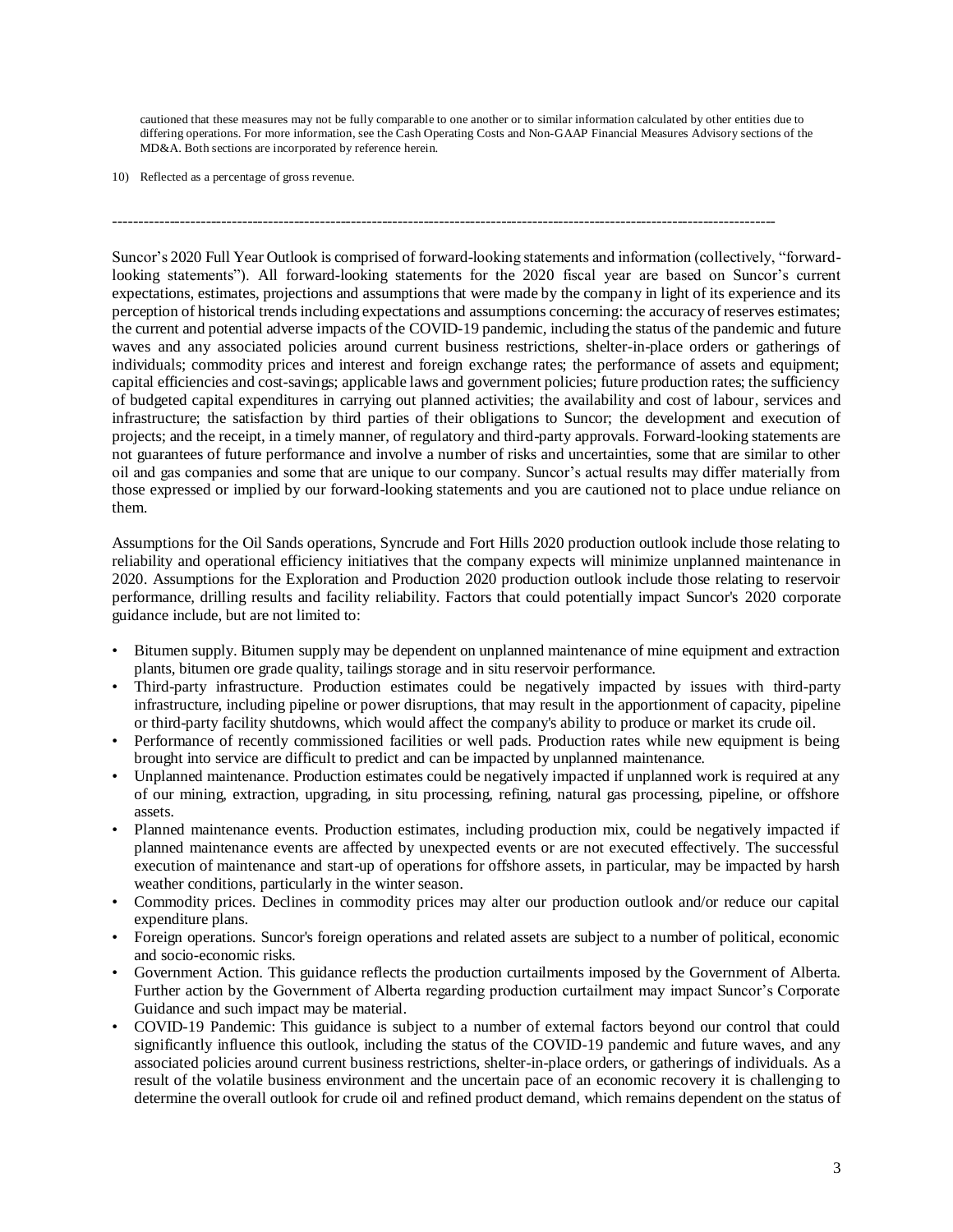cautioned that these measures may not be fully comparable to one another or to similar information calculated by other entities due to differing operations. For more information, see the Cash Operating Costs and Non-GAAP Financial Measures Advisory sections of the MD&A. Both sections are incorporated by reference herein.

10) Reflected as a percentage of gross revenue.

--------------------------------------------------------------------------------------------------------------------------------

Suncor's 2020 Full Year Outlook is comprised of forward-looking statements and information (collectively, "forwardlooking statements"). All forward-looking statements for the 2020 fiscal year are based on Suncor's current expectations, estimates, projections and assumptions that were made by the company in light of its experience and its perception of historical trends including expectations and assumptions concerning: the accuracy of reserves estimates; the current and potential adverse impacts of the COVID-19 pandemic, including the status of the pandemic and future waves and any associated policies around current business restrictions, shelter-in-place orders or gatherings of individuals; commodity prices and interest and foreign exchange rates; the performance of assets and equipment; capital efficiencies and cost-savings; applicable laws and government policies; future production rates; the sufficiency of budgeted capital expenditures in carrying out planned activities; the availability and cost of labour, services and infrastructure; the satisfaction by third parties of their obligations to Suncor; the development and execution of projects; and the receipt, in a timely manner, of regulatory and third-party approvals. Forward-looking statements are not guarantees of future performance and involve a number of risks and uncertainties, some that are similar to other oil and gas companies and some that are unique to our company. Suncor's actual results may differ materially from those expressed or implied by our forward-looking statements and you are cautioned not to place undue reliance on them.

Assumptions for the Oil Sands operations, Syncrude and Fort Hills 2020 production outlook include those relating to reliability and operational efficiency initiatives that the company expects will minimize unplanned maintenance in 2020. Assumptions for the Exploration and Production 2020 production outlook include those relating to reservoir performance, drilling results and facility reliability. Factors that could potentially impact Suncor's 2020 corporate guidance include, but are not limited to:

- Bitumen supply. Bitumen supply may be dependent on unplanned maintenance of mine equipment and extraction plants, bitumen ore grade quality, tailings storage and in situ reservoir performance.
- Third-party infrastructure. Production estimates could be negatively impacted by issues with third-party infrastructure, including pipeline or power disruptions, that may result in the apportionment of capacity, pipeline or third-party facility shutdowns, which would affect the company's ability to produce or market its crude oil.
- Performance of recently commissioned facilities or well pads. Production rates while new equipment is being brought into service are difficult to predict and can be impacted by unplanned maintenance.
- Unplanned maintenance. Production estimates could be negatively impacted if unplanned work is required at any of our mining, extraction, upgrading, in situ processing, refining, natural gas processing, pipeline, or offshore assets.
- Planned maintenance events. Production estimates, including production mix, could be negatively impacted if planned maintenance events are affected by unexpected events or are not executed effectively. The successful execution of maintenance and start-up of operations for offshore assets, in particular, may be impacted by harsh weather conditions, particularly in the winter season.
- Commodity prices. Declines in commodity prices may alter our production outlook and/or reduce our capital expenditure plans.
- Foreign operations. Suncor's foreign operations and related assets are subject to a number of political, economic and socio-economic risks.
- Government Action. This guidance reflects the production curtailments imposed by the Government of Alberta. Further action by the Government of Alberta regarding production curtailment may impact Suncor's Corporate Guidance and such impact may be material.
- COVID-19 Pandemic: This guidance is subject to a number of external factors beyond our control that could significantly influence this outlook, including the status of the COVID-19 pandemic and future waves, and any associated policies around current business restrictions, shelter-in-place orders, or gatherings of individuals. As a result of the volatile business environment and the uncertain pace of an economic recovery it is challenging to determine the overall outlook for crude oil and refined product demand, which remains dependent on the status of